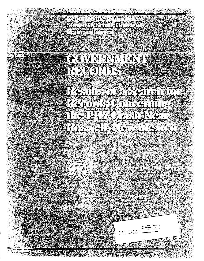

RGTOTIC UGHOLOGIC RIATH I ACHILIA IOUS SOLE RESERVATION

# CONDINING **BINKSINDS** TENTIFOIR SECTION REGORIS CORGANIZ TIGT OFFRIGATION 1703116 16116 163160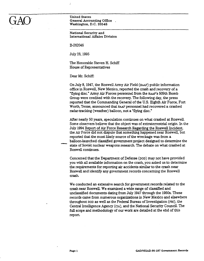$\bigodot\!\!\bigodot' \hspace{2.5cm} \begin{array}{ccc} & & & \text{United States} \ & \text{General Accou} \ & \text{Washington, D} \end{array}$ General Accounting Office Washington, D.C. 20548

> National Security and International Affairs Division

B-262046

July 28, 1995

The Honorable Steven H. Schiff House of Representatives

Dear Mr. Schiff:

On July 8, 1947, the Roswell Anny Air Field (RAAF) public information office in Roswell, New Mexico, reported the crash and recovery of a "flying disc." Army Air Forces personnel from the RAAF's 509th Bomb Group were credited with the recovery. The following day, the press reported that the Commanding General of the U.S. Eighth Air Force, Fort Worth, Texas, announced that RAAF personnel had recovered a crashed radar-tracking (weather) balloon, not a "flying disc."

After nearly 50 years, speculation continues on what crashed at Roswell. Some observers believe that the object was of extraterrestrial origin. In the July 1994 Report of Air Force Research Regarding the Roswell Incident, the Air Force did not dispute that something happened near Roswell, but reported that the most likely source of the wreckage was from a balloon-launched classified government project designed to determine the state of Soviet nuclear weapons research. The debate on what crashed at Roswell continues.

Concerned that the Department of Defense (DOD) may not have provided you with all available information on the crash, you asked us to determine the requirements for reporting air accidents similar to the crash near Roswell and identify any government records concerning the Roswell crash.

We conducted an extensive search for government records related to the crash near Roswell. We examined a wide range of classified and unclassified documents dating from July 1947 through the 1950s. These records came from numerous organizations in New Mexico and elsewhere throughout DOD as well as the Federal Bureau of Investigation (FBI), the Central Intelligence Agency (CIA), and the National Security Council. The full scope and methodology of our work are detailed at the end of this report.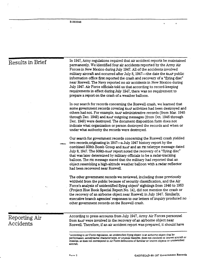### Results in Brief

In 1947, Army regulations required that air accident reports be maintained permanently. We identified four air accidents reported by the Army Air Forces in New Mexico during July 1947. All of the accidents involved military aircraft and occurred after July 8, 1947—the date the RAAF public information office first reported the crash and recovery of a "flying disc" near Roswell. The Navy reported no air accidents in New Mexico during July 1947. Air Force officials told us that according to record-keeping requirements in effect during July 1947, there was no requirement to prepare a report on the crash of a weather balloon.

In our search for records concerning the Roswell crash, we learned that some government records covering RAAF activities had been destroyed and others had not. For example, RAAF administrative records (from Mar. 1945) through Dec. 1949) and RAAF outgoing messages (from Oct. 1946 through Dec. 1949) were destroyed. The document disposition form does not indicate what organization or person destroyed the records and when or under what authority the records were destroyed.

Our search for government records concerning the Roswell crash yielded two records originating in 1947-a July 1947 history report by the combined 509th Bomb Group and RAAF and an FBI teletype message dated July 8, 1947. The 509th-RAAF report noted the recovery of a "flying disc" that was later determined by military officials to be a radar-tracking balloon. The FBI message stated that the military had reported that an object resembling a high-altitude weather balloon with a radar reflector had been recovered near Roswell.

The other government records we reviewed, including those previously withheld from the public because of security classification, and the Air Force's analysis of unidentified flying object<sup>1</sup> sightings from  $1946$  to  $1953$ (Project Blue Book Special Report No. 14), did not mention the crash or the recovery of an airborne object near Roswell in July 1947. Similarly, executive branch agencies' responses to our letters of inquiry produced no other government records on the Roswell crash.

### Reporting Air Accidents

According to press accounts from July 1947, Army Air Forces personnel from RAAF were involved in the recovery of an airborne object near Roswell. Therefore, if an air accident report was prepared, it should have

<sup>1</sup>According to Air Force regulation, an unidentified flying object is an airborne object that by performance. aerodynamic characteristics, or unusual features, does not conform to known aircraft or missiles. or does not correspond to Air Force definitions of familiar or known objects or unidentified aircraft.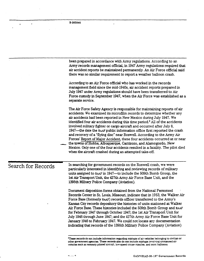B-262046

 $\overline{\phantom{a}}$ 

 $\epsilon$ 

 $\bar{\mathbf{r}}$ 

|                    | been prepared in accordance with Army regulations. According to an<br>Army records management official, in 1947 Army regulations required that<br>air accident reports be maintained permanently. An Air Force official said<br>there was no similar requirement to report a weather balloon crash.                                                                                                                                                                                                                                                                                                                                                                                                                                                                                                                                                 |
|--------------------|-----------------------------------------------------------------------------------------------------------------------------------------------------------------------------------------------------------------------------------------------------------------------------------------------------------------------------------------------------------------------------------------------------------------------------------------------------------------------------------------------------------------------------------------------------------------------------------------------------------------------------------------------------------------------------------------------------------------------------------------------------------------------------------------------------------------------------------------------------|
|                    | According to an Air Force official who has worked in the records<br>management field since the mid-1940s, air accident reports prepared in<br>July 1947 under Army regulations should have been transferred to Air<br>Force custody in September 1947, when the Air Force was established as a<br>separate service.                                                                                                                                                                                                                                                                                                                                                                                                                                                                                                                                 |
|                    | The Air Force Safety Agency is responsible for maintaining reports of air<br>accidents. We examined its microfilm records to determine whether any<br>air accidents had been reported in New Mexico during July 1947. We<br>identified four air accidents during this time period. <sup>2</sup> All of the accidents<br>involved military fighter or cargo aircraft and occurred after July 8,<br>1947—the date the RAAF public information office first reported the crash<br>and recovery of a "flying disc" near Roswell. According to the Army Air<br>Forces' Report of Major Accident, these four accidents occurred at or near<br>the towns of Hobbs, Albuquerque, Carrizozo, and Alamogordo, New<br>Mexico. Only one of the four accidents resulted in a fatality. The pilot died<br>when the aircraft crashed during an attempted take-off. |
| Search for Records | In searching for government records on the Roswell crash, we were<br>particularly interested in identifying and reviewing records of military<br>units assigned to RAAF in 1947—to include the 509th Bomb Group, the<br>1st Air Transport Unit, the 427th Army Air Force Base Unit, and the<br>1395th Military Police Company (Aviation).                                                                                                                                                                                                                                                                                                                                                                                                                                                                                                           |
|                    | Document disposition forms obtained from the National Personnel<br>Records Center in St. Louis, Missouri, indicate that in 1953, the Walker Air<br>Force Base (formerly RAAF) records officer transferred to the Army's<br>Kansas City records depository the histories of units stationed at Walker<br>Air Force Base. These histories included the 509th Bomb Group and RAAF<br>for February 1947 through October 1947; the 1st Air Transport Unit for<br>July 1946 through June 1947; and the 427th Army Air Force Base Unit for<br>January 1946 to February 1947. We could not locate any documentation<br>indicating that records of the 1395th Military Police Company (Aviation)                                                                                                                                                             |
|                    | These records do not include information regarding mishaps of air vehicles belonging to civilian or<br>other government agencies. These records also do not include mishaps involving unmanned air<br>vehicles such as remotely piloted aircraft, low-speed cruise missiles, and most balloons.                                                                                                                                                                                                                                                                                                                                                                                                                                                                                                                                                     |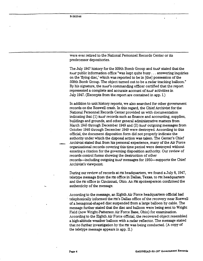were ever retired to the National Personnel Records Center or its predecessor depositories.

The July 1947 history for the 509th Bomb Group and RAAF stated that the RAAF public information office "was kept quite busy  $\dots$  answering inquiries on the 'flying disc,' which was reported to be in [the] possession of the 509th Bomb Group. The object turned out to be a radar tracking balloon." By his signature, the RAAF's commanding officer certified that the report represented a complete and accurate account of RAAF activities in July 1947. (Excerpts from the report are contained in app. I.)

In addition to unit history reports, we also searched for other government records on the Roswell crash. In this regard, the Chief Archivist for the National Personnel Records Center provided us with documentation indicating that (1) RAAF records such as finance and accounting, supplies, buildings and grounds, and other general administrative matters from March 1945 through December 1949 and (2) RAAF outgoing messages from October 1946 through December 1949 were destroyed. According to this official, the document disposition form did not properly indicate the authority under which the disposal action was taken. The Center's Chief Archivist stated that from his personal experience, many of the Air Force organizational records covering this time period were destroyed without entering a citation for the governing disposition authority. Our review of records control forms showing the destruction of other records—including outgoing RAAF messages for 1950—supports the Chief Archivist's viewpoint

During our review of records at FBI headquarters, we found a July 8, 1947, teletype message from the FBI office in Dallas, Texas, to FBI headquarters and the FBI office in Cincinnati., Ohio. An FBI spokesperson confirmed the authenticity of the message.

According to the message, an Eighth Air Force headquarters official had telephonically informed the FBI's Dallas office of the recovery near Roswell of a hexagonal-shaped disc suspended from a large balloon by cable. The message further stated that the disc and balloon were being sent to Wright Field (now Wright-Patterson Air Force Base, Ohio) for examination. According to the Eighth Air Force official, the recovered object resembled a high-altitude weather balloon with a radar reflector. The message stated that no further investigation by the FBI was being conducted. (A copy of the teletype message appears in app. IL)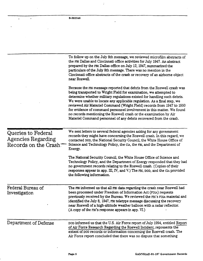B-262046 To follow up on the July 8th message, we reviewed microfilm abstracts of the FBI Dallas and Cincinnati office activities for July 1947. An abstract prepared by the FBI Dallas office on July 12, 1947, summarized the particulars of the July 8th message. There was no mention in the Cincinnati office abstracts of the crash or recovery of an airborne object near Roswell. Because the FBI message reported that debris from the Roswell crash was being transported to Wright Field for examination, we attempted to determine whether military regulations existed for handling such debris. We were unable to locate any applicable regulation. *As* a final step, we reviewed Air Materiel Command (Wright Field) records from 1947 to 1950 for evidence of command personnel involvement in this matter. We found no records mentioning the Roswell crash or the examination by Air Materiel Command personnel of any debris recovered from the crash. Queries to Federal We sent letters to several federal agencies asking for any government exact resorts they might have concerning the Roswell crash. In this regard, we<br>Agencies Regarding contacted pop. the National Security Council, the White House Office of Agencies Regarding contacted DOD, the National Security Council, the White House Office of<br>Records on the Crash Science and Technology Policy, the CIA, the FBI, and the Department of Science and Technology Policy, the CIA, the FBI, and the Department of Energy. Federal Bureau of Investigation Department of Defense The National Security Council, the White House Office of Science and Technology Policy, and the Department of Energy responded that they had no government records relating to the Roswell crash. (Copies of their responses appear in app. III, IV, and V.) The FBI, DOD, and the CLA provided the following information. The FBI informed us that all FBI data regarding the crash near Roswell had been processed under Freedom of Information Act (FOLA) requests previously received by the Bureau. We reviewed the FBI's FOIA material and identified the July 8, 1947, FBI teletype message discussing the recovery near Roswell of a high-altitude weather balloon with a radar reflector. (A copy of the FBI's response appears in app. v1.) DOD informed us that the U.S. Air Force report of July 1994, entitled Report of Air Force Research Regarding the Roswell Incident, represents the extent of DOD records or information concerning the Roswell crash. The Air Force report concluded that there was no dispute that something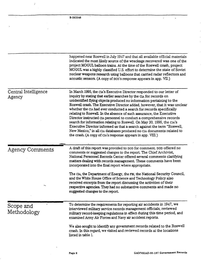$\ddot{\phantom{a}}$ 

τ

 $\ddot{\cdot}$ 

|                                | happened near Roswell in July 1947 and that all available official materials<br>indicated the most likely source of the wreckage recovered was one of the<br>project MOGUL balloon trains. At the time of the Roswell crash, project<br>MOGUL was a highly classified U.S. effort to determine the state of Soviet<br>nuclear weapons research using balloons that carried radar reflectors and<br>acoustic sensors. (A copy of pop's response appears in app. VII.)                                                                                                                                                                                                                                                                                                                                                     |
|--------------------------------|--------------------------------------------------------------------------------------------------------------------------------------------------------------------------------------------------------------------------------------------------------------------------------------------------------------------------------------------------------------------------------------------------------------------------------------------------------------------------------------------------------------------------------------------------------------------------------------------------------------------------------------------------------------------------------------------------------------------------------------------------------------------------------------------------------------------------|
| Central Intelligence<br>Agency | In March 1995, the CIA's Executive Director responded to our letter of<br>inquiry by stating that earlier searches by the CIA for records on<br>unidentified flying objects produced no information pertaining to the<br>Roswell crash. The Executive Director added, however, that it was unclear<br>whether the CIA had ever conducted a search for records specifically<br>relating to Roswell. In the absence of such assurance, the Executive<br>Director instructed CIA personnel to conduct a comprehensive records<br>search for information relating to Roswell. On May 30, 1995, the CIA's<br>Executive Director informed us that a search against the term "Roswell,<br>New Mexico," in all CIA databases produced no CIA documents related to<br>the crash. (A copy of CIA's response appears in app. VIII.) |
| <b>Agency Comments</b>         | A draft of this report was provided to DOD for comment. DOD offered no<br>comments or suggested changes to the report. The Chief Archivist,<br>National Personnel Records Center offered several comments clarifying<br>matters dealing with records management. These comments have been<br>incorporated into the final report where appropriate.<br>The CIA, the Department of Energy, the FBI, the National Security Council,<br>and the White House Office of Science and Technology Policy also<br>received excerpts from the report discussing the activities of their                                                                                                                                                                                                                                             |
|                                | respective agencies. They had no substantive comments and made no<br>suggested changes to the report.                                                                                                                                                                                                                                                                                                                                                                                                                                                                                                                                                                                                                                                                                                                    |
| Scope and<br>Methodology       | To determine the requirements for reporting air accidents in 1947, we<br>interviewed military service records management officials, reviewed<br>military record-keeping regulations in effect during this time period, and<br>examined Army Air Forces and Navy air accident reports.                                                                                                                                                                                                                                                                                                                                                                                                                                                                                                                                    |
|                                | We also sought to identify any government records related to the Roswell<br>crash. In this regard, we visited and reviewed records at the locations<br>listed in table 1.                                                                                                                                                                                                                                                                                                                                                                                                                                                                                                                                                                                                                                                |

 $\pm$ 

 $\hat{\boldsymbol{\cdot} }$ 

 $\bar{z}$ 

 $\overline{\phantom{a}}$ 

 $\mathcal{A}$  $\mathbb{R}^2$ 

 $\bar{z}$ 

 $\ddot{\phantom{a}}$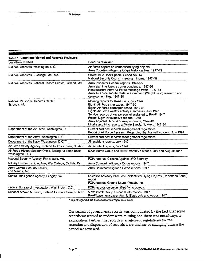| Table 1: Locations Visited and Records Reviewed                               |                                                                                                                                                                                                                                                                                                                                                                                                                           |
|-------------------------------------------------------------------------------|---------------------------------------------------------------------------------------------------------------------------------------------------------------------------------------------------------------------------------------------------------------------------------------------------------------------------------------------------------------------------------------------------------------------------|
| <b>Locations visited</b>                                                      | <b>Records reviewed</b>                                                                                                                                                                                                                                                                                                                                                                                                   |
| National Archives, Washington, D.C.                                           | Air Force papers on unidentified flying objects<br>Army Counterintelligence Corps historical files, 1947-49                                                                                                                                                                                                                                                                                                               |
| National Archives II, College Park, Md.                                       | Project Blue Book Special Report No. 14<br>National Security Council meeting minutes, 1947-48                                                                                                                                                                                                                                                                                                                             |
| National Archives, National Record Center, Suitland, Md.                      | Army Inspector General reports, 1947-58<br>Army staff intelligence correspondence, 1947-56<br>Headquarters Army Air Force message traffic, 1947-54<br>Army Air Force and Air Materiel Command (Wright Field) research and<br>development files, 1947-50                                                                                                                                                                   |
| National Personnel Records Center,<br>St. Louis, Mo.                          | Morning reports for RAAF units, July 1947<br>Eighth Air Force messages, 1947-50<br>Eighth Air Force correspondence, 1947-51<br>Eighth Air Force weekly activity summaries, July 1947<br>Service records of key personnel assigned to RAAF, 1947<br>Project Sign <sup>a</sup> investigative reports, 1948<br>Army Adjutant General correspondence, 1947-49<br>Missile test firing reports at White Sands, N. Mex., 1947-54 |
| Department of the Air Force, Washington, D.C.                                 | Current and past records management regulations<br>Report of Air Force Research Regarding the Roswell Incident, July 1994                                                                                                                                                                                                                                                                                                 |
| Department of the Army, Washington, D.C.                                      | Current and past records management regulations                                                                                                                                                                                                                                                                                                                                                                           |
| Department of the Navy, Washington, D.C.                                      | Air accident reports, July 1947                                                                                                                                                                                                                                                                                                                                                                                           |
| Air Force Safety Agency, Kirtland Air Force Base, N. Mex.                     | Air accident reports, July 1947                                                                                                                                                                                                                                                                                                                                                                                           |
| Air Force History Support Office, Bolling Air Force Base.<br>Washington, D.C. | 509th Bomb Group and RAAF monthly histories, July and August 1947                                                                                                                                                                                                                                                                                                                                                         |
| National Security Agency, Fort Meade, Md.                                     | FOIA records, Citizens Against UFO Secrecy                                                                                                                                                                                                                                                                                                                                                                                |
| Military History Institute, Army War College, Carlisle, Pa.                   | Army Counterintelligence Corps reports, 1947                                                                                                                                                                                                                                                                                                                                                                              |
| Army Central Security Facility,<br>Fort Meade, Md.                            | Army Counterintelligence Corps reports, 1947                                                                                                                                                                                                                                                                                                                                                                              |
| Central Intelligence Agency, Langley, Va.                                     | Scientific Advisory Panel on Unidentified Flying Objects (Robertson Panel)<br>report<br>FOIA records, Ground Saucer Watch, Inc.                                                                                                                                                                                                                                                                                           |
| Federal Bureau of Investigation, Washington, D.C.                             | FOIA records on unidentified flying objects                                                                                                                                                                                                                                                                                                                                                                               |
| National Atomic Museum, Kirtland Air Force Base, N. Mex.                      | 509th Bomb Group historical information, 1947<br>RAAF base newspaper Atomic Blast, July and August 1947                                                                                                                                                                                                                                                                                                                   |

 $\bullet$ 

 $\overline{\phantom{a}}$ 

 $\bullet$ 

\*Project Sign was the predecessor to Project Blue Book.

Our search of government records was complicated by the fact that some records we wanted to review were missing and there was not always an explanation. Further, the records management regulations for the retention and disposition of records were unclear or changing during the period we reviewed.

 $\overline{a}$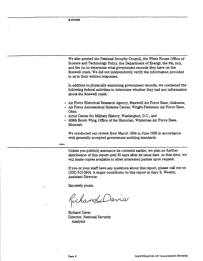We also queried the National Security Council, the White House Office of Science and Technology Policy, the Department of Energy, the FBI, DOD, and the CIA to detennine what government records they have on the Roswell crash. We did not independently verify the information provided to us in their written responses.

In addition to physically examining government records, we contacted the following federal activities to detennine whether they had any information about the Roswell crash:

- Air Force Historical Research Agency, Maxwell Air Force Base, Alabama;
- Air Force Aeronautical Systems Center, Wright-Patterson Air Force Base, Ohio;
- Army Center for Military History, Washington, D.C.; and
- 509th Bomb Wing, Office of the Historian, Whiteman Air Force Base, Missouri.

We conducted our review from March 1994 to June 1995 in accordance with generally accepted government auditing standards.

Unless you publicly announce its contents earlier, we plan no further distribution of this report until 30 days after its issue date. At that time, we will make copies available to other interested parties upon request.

If you or your staff have any questions about this report, please call me on (202) 512-3504. A major contributor to this report is Gary K Weeter, Assistant Director.

Sincerely yours,

Richard Davis

Richard Davis Director, National Security Analysis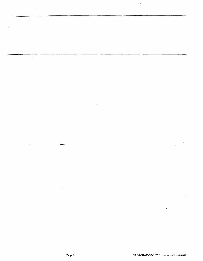| $\mathbf{r}$                                                          | $\sim 100$                                                                                                                                                                                                                                                                                                                                                                                                   |                                                                                                                                                                                                                                                                                                                                                                                                                                                             | $\mathcal{L}(\mathcal{L})$ and $\mathcal{L}(\mathcal{L})$ . The $\mathcal{L}(\mathcal{L})$ |                                                                                                                                                                                                                                                                                                                    |                                                                                                                                                                                                                                                                                                                |
|-----------------------------------------------------------------------|--------------------------------------------------------------------------------------------------------------------------------------------------------------------------------------------------------------------------------------------------------------------------------------------------------------------------------------------------------------------------------------------------------------|-------------------------------------------------------------------------------------------------------------------------------------------------------------------------------------------------------------------------------------------------------------------------------------------------------------------------------------------------------------------------------------------------------------------------------------------------------------|--------------------------------------------------------------------------------------------|--------------------------------------------------------------------------------------------------------------------------------------------------------------------------------------------------------------------------------------------------------------------------------------------------------------------|----------------------------------------------------------------------------------------------------------------------------------------------------------------------------------------------------------------------------------------------------------------------------------------------------------------|
|                                                                       | $\mathcal{L}(\mathcal{A})$ and $\mathcal{L}(\mathcal{A})$ . The contribution of $\mathcal{L}(\mathcal{A})$                                                                                                                                                                                                                                                                                                   |                                                                                                                                                                                                                                                                                                                                                                                                                                                             |                                                                                            |                                                                                                                                                                                                                                                                                                                    |                                                                                                                                                                                                                                                                                                                |
|                                                                       |                                                                                                                                                                                                                                                                                                                                                                                                              |                                                                                                                                                                                                                                                                                                                                                                                                                                                             |                                                                                            |                                                                                                                                                                                                                                                                                                                    |                                                                                                                                                                                                                                                                                                                |
|                                                                       |                                                                                                                                                                                                                                                                                                                                                                                                              |                                                                                                                                                                                                                                                                                                                                                                                                                                                             |                                                                                            |                                                                                                                                                                                                                                                                                                                    |                                                                                                                                                                                                                                                                                                                |
|                                                                       |                                                                                                                                                                                                                                                                                                                                                                                                              |                                                                                                                                                                                                                                                                                                                                                                                                                                                             |                                                                                            |                                                                                                                                                                                                                                                                                                                    |                                                                                                                                                                                                                                                                                                                |
|                                                                       |                                                                                                                                                                                                                                                                                                                                                                                                              | $\sim$ $\sim$                                                                                                                                                                                                                                                                                                                                                                                                                                               |                                                                                            |                                                                                                                                                                                                                                                                                                                    |                                                                                                                                                                                                                                                                                                                |
|                                                                       |                                                                                                                                                                                                                                                                                                                                                                                                              |                                                                                                                                                                                                                                                                                                                                                                                                                                                             |                                                                                            |                                                                                                                                                                                                                                                                                                                    |                                                                                                                                                                                                                                                                                                                |
|                                                                       |                                                                                                                                                                                                                                                                                                                                                                                                              |                                                                                                                                                                                                                                                                                                                                                                                                                                                             |                                                                                            |                                                                                                                                                                                                                                                                                                                    |                                                                                                                                                                                                                                                                                                                |
|                                                                       |                                                                                                                                                                                                                                                                                                                                                                                                              |                                                                                                                                                                                                                                                                                                                                                                                                                                                             |                                                                                            |                                                                                                                                                                                                                                                                                                                    |                                                                                                                                                                                                                                                                                                                |
|                                                                       |                                                                                                                                                                                                                                                                                                                                                                                                              | $\mathcal{L}(\mathcal{L}(\mathcal{L}(\mathcal{L}(\mathcal{L}(\mathcal{L}(\mathcal{L}(\mathcal{L}(\mathcal{L}(\mathcal{L}(\mathcal{L}(\mathcal{L}(\mathcal{L}(\mathcal{L}(\mathcal{L}(\mathcal{L}(\mathcal{L}(\mathcal{L}(\mathcal{L}(\mathcal{L}(\mathcal{L}(\mathcal{L}(\mathcal{L}(\mathcal{L}(\mathcal{L}(\mathcal{L}(\mathcal{L}(\mathcal{L}(\mathcal{L}(\mathcal{L}(\mathcal{L}(\mathcal{L}(\mathcal{L}(\mathcal{L}(\mathcal{L}(\mathcal{L}(\mathcal{$ |                                                                                            |                                                                                                                                                                                                                                                                                                                    |                                                                                                                                                                                                                                                                                                                |
|                                                                       |                                                                                                                                                                                                                                                                                                                                                                                                              |                                                                                                                                                                                                                                                                                                                                                                                                                                                             |                                                                                            |                                                                                                                                                                                                                                                                                                                    |                                                                                                                                                                                                                                                                                                                |
|                                                                       |                                                                                                                                                                                                                                                                                                                                                                                                              |                                                                                                                                                                                                                                                                                                                                                                                                                                                             |                                                                                            |                                                                                                                                                                                                                                                                                                                    |                                                                                                                                                                                                                                                                                                                |
|                                                                       |                                                                                                                                                                                                                                                                                                                                                                                                              |                                                                                                                                                                                                                                                                                                                                                                                                                                                             |                                                                                            |                                                                                                                                                                                                                                                                                                                    |                                                                                                                                                                                                                                                                                                                |
|                                                                       |                                                                                                                                                                                                                                                                                                                                                                                                              |                                                                                                                                                                                                                                                                                                                                                                                                                                                             |                                                                                            |                                                                                                                                                                                                                                                                                                                    |                                                                                                                                                                                                                                                                                                                |
|                                                                       |                                                                                                                                                                                                                                                                                                                                                                                                              |                                                                                                                                                                                                                                                                                                                                                                                                                                                             |                                                                                            |                                                                                                                                                                                                                                                                                                                    |                                                                                                                                                                                                                                                                                                                |
|                                                                       |                                                                                                                                                                                                                                                                                                                                                                                                              |                                                                                                                                                                                                                                                                                                                                                                                                                                                             |                                                                                            | $\label{eq:2.1} \mathcal{L}(\mathcal{L}^{\mathcal{L}}_{\mathcal{L}}(\mathcal{L}^{\mathcal{L}}_{\mathcal{L}}))\leq \mathcal{L}(\mathcal{L}^{\mathcal{L}}_{\mathcal{L}}(\mathcal{L}^{\mathcal{L}}_{\mathcal{L}}))\leq \mathcal{L}(\mathcal{L}^{\mathcal{L}}_{\mathcal{L}}(\mathcal{L}^{\mathcal{L}}_{\mathcal{L}}))$ |                                                                                                                                                                                                                                                                                                                |
|                                                                       |                                                                                                                                                                                                                                                                                                                                                                                                              |                                                                                                                                                                                                                                                                                                                                                                                                                                                             |                                                                                            |                                                                                                                                                                                                                                                                                                                    |                                                                                                                                                                                                                                                                                                                |
|                                                                       |                                                                                                                                                                                                                                                                                                                                                                                                              |                                                                                                                                                                                                                                                                                                                                                                                                                                                             |                                                                                            |                                                                                                                                                                                                                                                                                                                    | $\label{eq:2.1} \mathcal{L}(\mathcal{L}^{\mathcal{L}}_{\mathcal{L}}(\mathcal{L}^{\mathcal{L}}_{\mathcal{L}})) = \mathcal{L}(\mathcal{L}^{\mathcal{L}}_{\mathcal{L}}(\mathcal{L}^{\mathcal{L}}_{\mathcal{L}})) = \mathcal{L}(\mathcal{L}^{\mathcal{L}}_{\mathcal{L}}(\mathcal{L}^{\mathcal{L}}_{\mathcal{L}}))$ |
|                                                                       |                                                                                                                                                                                                                                                                                                                                                                                                              | $\mathcal{L}(\mathcal{L}(\mathcal{L}))$ and $\mathcal{L}(\mathcal{L}(\mathcal{L}))$ and $\mathcal{L}(\mathcal{L}(\mathcal{L}))$ . The contribution of the contribution of $\mathcal{L}(\mathcal{L})$                                                                                                                                                                                                                                                        |                                                                                            |                                                                                                                                                                                                                                                                                                                    |                                                                                                                                                                                                                                                                                                                |
|                                                                       |                                                                                                                                                                                                                                                                                                                                                                                                              |                                                                                                                                                                                                                                                                                                                                                                                                                                                             |                                                                                            |                                                                                                                                                                                                                                                                                                                    | $\mathcal{L}^{\text{max}}_{\text{max}}$                                                                                                                                                                                                                                                                        |
|                                                                       | $\mathcal{L}(\mathcal{L}(\mathcal{L}))$ . The contract of the contract of the contract of the contract of the contract of the contract of the contract of the contract of the contract of the contract of the contract of the contract of the co<br>$\mathcal{L}(\mathcal{L}(\mathcal{L}))$ and $\mathcal{L}(\mathcal{L}(\mathcal{L}))$ . The contribution of the contribution of $\mathcal{L}(\mathcal{L})$ |                                                                                                                                                                                                                                                                                                                                                                                                                                                             |                                                                                            |                                                                                                                                                                                                                                                                                                                    |                                                                                                                                                                                                                                                                                                                |
|                                                                       |                                                                                                                                                                                                                                                                                                                                                                                                              |                                                                                                                                                                                                                                                                                                                                                                                                                                                             |                                                                                            |                                                                                                                                                                                                                                                                                                                    | and the control of the control of                                                                                                                                                                                                                                                                              |
| $\mathcal{O}(\mathcal{O}(\log n))$ . The set of $\mathcal{O}(\log n)$ |                                                                                                                                                                                                                                                                                                                                                                                                              |                                                                                                                                                                                                                                                                                                                                                                                                                                                             |                                                                                            |                                                                                                                                                                                                                                                                                                                    |                                                                                                                                                                                                                                                                                                                |
|                                                                       |                                                                                                                                                                                                                                                                                                                                                                                                              | $\label{eq:2.1} \frac{1}{\ x\ ^{2}}\leq \frac{1}{\ x\ ^{2}}\leq \frac{1}{\ x\ ^{2}}\leq \frac{1}{\ x\ ^{2}}\leq \frac{1}{\ x\ ^{2}}\leq \frac{1}{\ x\ ^{2}}\leq \frac{1}{\ x\ ^{2}}\leq \frac{1}{\ x\ ^{2}}\leq \frac{1}{\ x\ ^{2}}\leq \frac{1}{\ x\ ^{2}}\leq \frac{1}{\ x\ ^{2}}\leq \frac{1}{\ x\ ^{2}}\leq \frac{1}{\ x\ ^{2}}\leq \frac{$                                                                                                             |                                                                                            |                                                                                                                                                                                                                                                                                                                    |                                                                                                                                                                                                                                                                                                                |
|                                                                       |                                                                                                                                                                                                                                                                                                                                                                                                              |                                                                                                                                                                                                                                                                                                                                                                                                                                                             |                                                                                            |                                                                                                                                                                                                                                                                                                                    |                                                                                                                                                                                                                                                                                                                |

 $\langle \cdot \rangle$ 

 $\langle \rangle$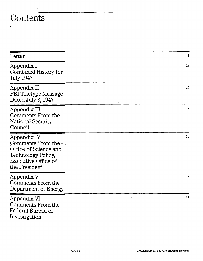### **Contents**

| Letter                                                                                                                          | $\mathbf{1}$ |
|---------------------------------------------------------------------------------------------------------------------------------|--------------|
| Appendix I<br>Combined History for<br>July 1947                                                                                 | 12           |
| Appendix II<br>FBI Teletype Message<br>Dated July 8, 1947                                                                       | 14           |
| Appendix III<br>Comments From the<br>National Security<br>Council                                                               | 15           |
| Appendix IV<br>Comments From the—<br>Office of Science and<br>Technology Policy,<br><b>Executive Office of</b><br>the President | 16           |
| Appendix V<br>Comments From the<br>Department of Energy                                                                         | 17           |
| Appendix VI<br>Comments From the<br>Federal Bureau of<br>Investigation                                                          | 18           |

 $\bar{\mathcal{L}}$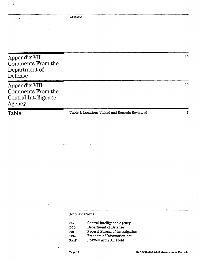|                                                                      | Contents                                        |                |
|----------------------------------------------------------------------|-------------------------------------------------|----------------|
|                                                                      |                                                 |                |
|                                                                      |                                                 |                |
|                                                                      |                                                 |                |
|                                                                      |                                                 |                |
|                                                                      |                                                 |                |
| Appendix VII<br>Comments From the<br>Department of<br>Defense        |                                                 | 19             |
| Appendix VIII<br>Comments From the<br>Central Intelligence<br>Agency |                                                 | 20             |
| Table                                                                | Table 1: Locations Visited and Records Reviewed | $\overline{7}$ |
|                                                                      |                                                 |                |
|                                                                      |                                                 |                |
|                                                                      |                                                 |                |
|                                                                      |                                                 |                |
|                                                                      |                                                 |                |
|                                                                      |                                                 |                |

 $\ddot{\cdot}$ 

#### Abbreviations

 $\cdot$ 

| <b>CIA</b> | Central Intelligence Agency |
|------------|-----------------------------|
| DOD        | Department of Defense       |

FBI Federal Bureau of Investigation

**FOLA** Freedom of Information Act

RAAF Roswell Army Air Field

 $\ddot{\phantom{0}}$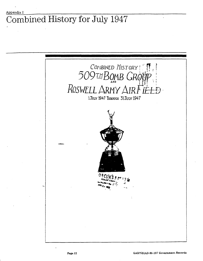## Combined History for July 1947

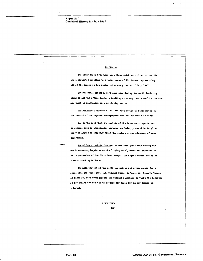#### **RESTRICTED**

The other three briefings were those which were given to the TIP and a simulated briefing to a large group of Air Scouts representing all of the traops in New Mexico thich was given on 10 July 1947.

Several mmall projects were completed during the month including signs on all the office doors, a building directory, and a world situation map which is maintained on a day-to-day basis.

The Eistorical Section of S-2 has been seriously handicapped by the removal of the regular stemographer with the reduction in force.

Due to the fact that the quality of the department reports has in general been so inadequate, loctures are being propared to be given sarly in August to properly train the liaisou representatives of each department.

The Office of Public Information was kept quite busy during the " month answering impuries on the "flying disc", which was reported to be in possession of the 509th Bomb Group. The object turned out to be a radar tracking balloon.

The main preject of the month was making all arrangements for a successful Air Force Day. Lt. Colonel Oliver LaParge, Air Reserve Corps, at Santa Fe, made arrangements for Colonal Blanchard to visit the Governor of New Yexico and ask him to declare Air Porce Day in New Mexico on l August.

> 233710750 39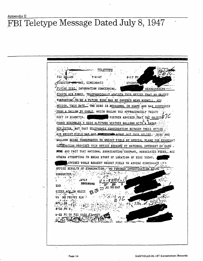#### Appendix II

### FBI Teletype Message Dated July 8, 1947

**JETYFE** こーユフ 6-17 PM гн <del>smb~S</del>ac, cincinnati-**URSENT** FLYING DISC. INFORMATION CONCERNING. HEADQUARTER EIGHTH AIR FORCE, TELEPHONICALLY DVISED THIS OFFICE THAT AN OBJECT PURPORTINC TO BE A FLYING DISC WAS RE COVERED NEAR ROSUF **NFU** THIS DATE. THE DISC IS HEXAGONAL IN SHAPE MIXICO, AND WA SUSPENDED FROM A BALLON BY CABLE, WHICH EALLON WAS APPROXIMATELY TWENTY FEET IN DIAMETER. FURTHER ADVISED THAT THE OBJE FOUND RESEMBLES A HIGH ALTITUDE WEATHER BALLOON WITH A ECTOR, BUT THAT TELEPHONIC CONVERSATION BETWEEN THEIR CFFICE NND WRIGHT <u>FIZLD</u> **LDISC AND** والتحاوي **TUTC** ההורה והת BALLOON BEING TRANSPORTED TO WRIGHT FIELD SPECIAL **PLANE** RY. FOR EXAMINAT INFORMATION PROVIDED THIS OFFICE BECAUSE CT NATIONAL INTEREST IN CASE FREE AND FACT THAT NATIONAL BROADCASTING COMPANY, ASSOCIATED PRESS, AND OTHERS ATTEMPTING TO BREAK STORY OF LOCATION OF DISC TODAY. ADVISED WOULD REQUEST WRIGHT FIELD TO ADVISE CINCINNAȚI OFFICE RESULTS OF EXAMINATION. INVESTIC NO FURTHER CONDIIC TED. WYLY. **RXCORDED TNE**  $-92.731701$  $72\alpha$ , of  $8 - 36 : PN 0:$ 6-22 PH CK FBI WAS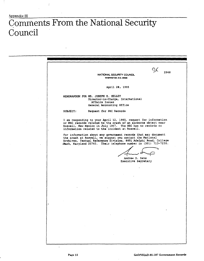Appendix III

### omments From the National Security Council

 $\gamma$ 2948 NATIONAL SECURITY COUNCIL WASHNGTON, C.C. 20506 April 28, 1995 MEMORANDUM FOR MR. JOSEPH E. KELLEY Director-in-Charge, International Affairs Issues General Accounting Office SUBJECT: Request for NSC Records I am responding to your April 12, 1995, request for information or NSC records related to the crash of an airborne object near Roswell, New Mexico in July 1947. The NSC has no records or information related to the incident at Roswell. For information about any government records that may document the crash at Roswell, we suggest you contact the National Archives, Textual Reference Division, 8601 Adelphi Road, College -Back, Maryland 20740. Their telephone number is (301) 713-7230. Andrew D. Sens Executive Secretary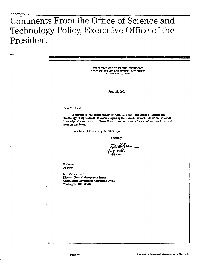### Comments From the Office of Science ahd · Technology Policy, Executive Office of the President

| EXECUTIVE OFFICE OF THE PRESIDENT<br>OFFICE OF SCIENCE AND TECHNOLOGY POLICY<br>WASHINGTON, D.C. 20500                                                                                                                                                                                             |
|----------------------------------------------------------------------------------------------------------------------------------------------------------------------------------------------------------------------------------------------------------------------------------------------------|
| April 26, 1995                                                                                                                                                                                                                                                                                     |
| Dear Mr. Hunt:                                                                                                                                                                                                                                                                                     |
| In response to your recent inquiry of April 12, 1995. The Office of Science and<br>Technology Policy reviewed its records regarding the Roswell Incident. OSTP has no direct<br>knowledge of what occurred at Roswell and no records, except for the information I received<br>from the Air Force. |
| I look forward to receiving the GAO report.                                                                                                                                                                                                                                                        |
| Sincerely,                                                                                                                                                                                                                                                                                         |
|                                                                                                                                                                                                                                                                                                    |
| <b>Enclosures</b><br>As stated                                                                                                                                                                                                                                                                     |
| Mr. William Hunt<br>Director, Federal Management Issues<br>United States Government Accounting Office<br>Washington, DC 20548                                                                                                                                                                      |
|                                                                                                                                                                                                                                                                                                    |
|                                                                                                                                                                                                                                                                                                    |
|                                                                                                                                                                                                                                                                                                    |
|                                                                                                                                                                                                                                                                                                    |
|                                                                                                                                                                                                                                                                                                    |
|                                                                                                                                                                                                                                                                                                    |
|                                                                                                                                                                                                                                                                                                    |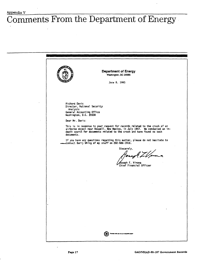### **Comments From the Department of Energy**

**Department of Energy**<br> **Department of Energy**<br>
Washington, DC 20585 Washing1on, DC 20585 Jur.e 8. 1995 Richard Davis Director, National Security Analysis General Accounting Office Washington, D.C. 20538 Dear Mr. Davis: This is in response to your request for records related to the crash of an airborne object near Roswell, New Mexico, in July 1947. We conducted an indepth search for documents related to the crash and have found no such documents. If *1ou* have any questions regarding this matter, please do not hesitate to ----c~ntict Barry Uh11g of my staff on.202-586-1910. Sincerely,  $H_{\rm max}$  of  $Z/\sqrt{2\pi}$  $\delta$ oseph F. Vivona Chief Financial Officer .<br>It wik sey as on recycled (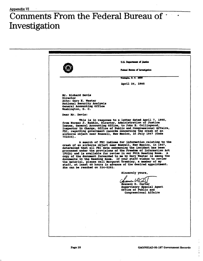### Comments From the Federal Bureau of 1 Investigation

U.S. Department of Justice Federal Bureau of Investigation *Washington, D. C. 20535* April 24, 1995 Mr. Richard Davis Director Attn: Gary X. Weeter National Security Analysis General Accounting Office Washington, D. C. Dear Mr. Davis: This is in response to a letter dated April 7, 1995, from Norman J. Rabkin, Director, Administration of Justice Issues, General Accounting Office, to John E. Collingwood, Inspector in Charge, Office of Public and Congressional Affairs, FBI, regarding government records concerning the crash of an airborne object near Roswell, New Nexico, in July 1947 (Code 701034). A search of FBI indices for information relating to the<br>crash of an airborne object near Roswell, New Mexico, in 1947,<br>determined that all FBI data concerning the incident has been processed under the provisions of the Freedom of Information Act (POIA) and is available for review in our FOIA Reading Room. (FOIA) and is evaluable for review in our Four seading Room. A copy of the documents in the Reading Room. If your staff wishes to review the material, please call Margaret Tremblay, a member of my staff, at least 48 hours She can be reached on 324-5292. Sincerely yours, Janear LOCI **Swanson D. Carter** Supervisory Special Agent Office of Public and Congressional Affairs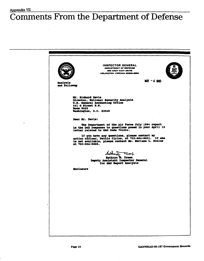### omments From the Department of Defense

**INSPECTOR GENERAL** DEPARTMENT OF DEFENSE 400 ARMY NAVY DRIVE ARLINGTON, VIRGINIA 22202-2004 MAY - 4 1995 Analysis and Followup Mr. Richard Davis Director, Mational Security Analysis<br>U.S. General Accounting Office<br>441 G Street N.W. **Room 5025** Washington, D.C. 20548 Dear Mr. Davis: The Department of the Air Porce July 1994 report<br>is the DoD response to questions posed in your April 12<br>letter related to GAO Code 701034. If you have any questions, please contact my<br>action officer, Pattie Cirino, at 703-604-9631. If she<br>is not available, please contact Ms. Merlene L. Scales<br>at 703-604-9626. حتسمه Kathryn R. Truex Deputy Assistant Inspector General for GAO Report Analysis **Enclosure**